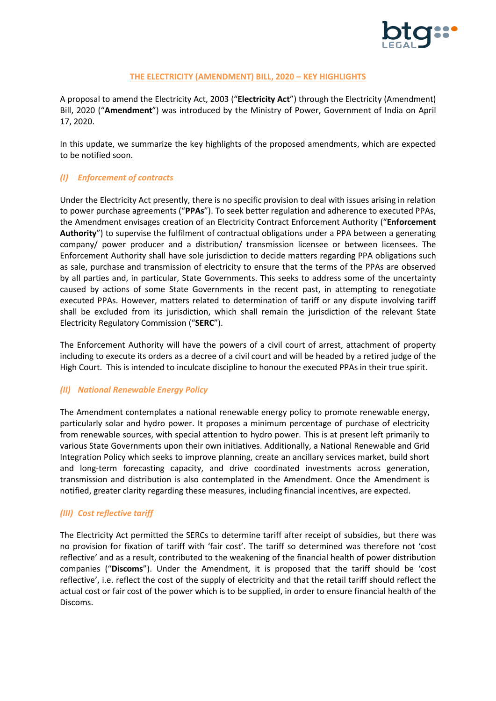

## **THE ELECTRICITY (AMENDMENT) BILL, 2020 – KEY HIGHLIGHTS**

A proposal to amend the Electricity Act, 2003 ("**Electricity Act**") through the Electricity (Amendment) Bill, 2020 ("**Amendment**") was introduced by the Ministry of Power, Government of India on April 17, 2020.

In this update, we summarize the key highlights of the proposed amendments, which are expected to be notified soon.

# *(I) Enforcement of contracts*

Under the Electricity Act presently, there is no specific provision to deal with issues arising in relation to power purchase agreements ("**PPAs**"). To seek better regulation and adherence to executed PPAs, the Amendment envisages creation of an Electricity Contract Enforcement Authority ("**Enforcement Authority**") to supervise the fulfilment of contractual obligations under a PPA between a generating company/ power producer and a distribution/ transmission licensee or between licensees. The Enforcement Authority shall have sole jurisdiction to decide matters regarding PPA obligations such as sale, purchase and transmission of electricity to ensure that the terms of the PPAs are observed by all parties and, in particular, State Governments. This seeks to address some of the uncertainty caused by actions of some State Governments in the recent past, in attempting to renegotiate executed PPAs. However, matters related to determination of tariff or any dispute involving tariff shall be excluded from its jurisdiction, which shall remain the jurisdiction of the relevant State Electricity Regulatory Commission ("**SERC**").

The Enforcement Authority will have the powers of a civil court of arrest, attachment of property including to execute its orders as a decree of a civil court and will be headed by a retired judge of the High Court. This is intended to inculcate discipline to honour the executed PPAs in their true spirit.

## *(II) National Renewable Energy Policy*

The Amendment contemplates a national renewable energy policy to promote renewable energy, particularly solar and hydro power. It proposes a minimum percentage of purchase of electricity from renewable sources, with special attention to hydro power. This is at present left primarily to various State Governments upon their own initiatives. Additionally, a National Renewable and Grid Integration Policy which seeks to improve planning, create an ancillary services market, build short and long-term forecasting capacity, and drive coordinated investments across generation, transmission and distribution is also contemplated in the Amendment. Once the Amendment is notified, greater clarity regarding these measures, including financial incentives, are expected.

## *(III) Cost reflective tariff*

The Electricity Act permitted the SERCs to determine tariff after receipt of subsidies, but there was no provision for fixation of tariff with 'fair cost'. The tariff so determined was therefore not 'cost reflective' and as a result, contributed to the weakening of the financial health of power distribution companies ("**Discoms**"). Under the Amendment, it is proposed that the tariff should be 'cost reflective', i.e. reflect the cost of the supply of electricity and that the retail tariff should reflect the actual cost or fair cost of the power which is to be supplied, in order to ensure financial health of the Discoms.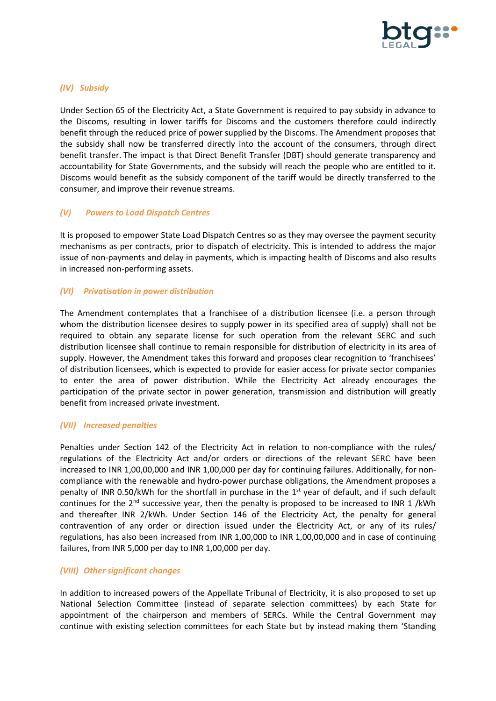

## *(IV) Subsidy*

Under Section 65 of the Electricity Act, a State Government is required to pay subsidy in advance to the Discoms, resulting in lower tariffs for Discoms and the customers therefore could indirectly benefit through the reduced price of power supplied by the Discoms. The Amendment proposes that the subsidy shall now be transferred directly into the account of the consumers, through direct benefit transfer. The impact is that Direct Benefit Transfer (DBT) should generate transparency and accountability for State Governments, and the subsidy will reach the people who are entitled to it. Discoms would benefit as the subsidy component of the tariff would be directly transferred to the consumer, and improve their revenue streams.

## *(V) Powers to Load Dispatch Centres*

It is proposed to empower State Load Dispatch Centres so as they may oversee the payment security mechanisms as per contracts, prior to dispatch of electricity. This is intended to address the major issue of non-payments and delay in payments, which is impacting health of Discoms and also results in increased non-performing assets.

## *(VI) Privatisation in power distribution*

The Amendment contemplates that a franchisee of a distribution licensee (i.e. a person through whom the distribution licensee desires to supply power in its specified area of supply) shall not be required to obtain any separate license for such operation from the relevant SERC and such distribution licensee shall continue to remain responsible for distribution of electricity in its area of supply. However, the Amendment takes this forward and proposes clear recognition to 'franchisees' of distribution licensees, which is expected to provide for easier access for private sector companies to enter the area of power distribution. While the Electricity Act already encourages the participation of the private sector in power generation, transmission and distribution will greatly benefit from increased private investment.

## *(VII) Increased penalties*

Penalties under Section 142 of the Electricity Act in relation to non-compliance with the rules/ regulations of the Electricity Act and/or orders or directions of the relevant SERC have been increased to INR 1,00,00,000 and INR 1,00,000 per day for continuing failures. Additionally, for noncompliance with the renewable and hydro-power purchase obligations, the Amendment proposes a penalty of INR 0.50/kWh for the shortfall in purchase in the  $1<sup>st</sup>$  year of default, and if such default continues for the  $2<sup>nd</sup>$  successive year, then the penalty is proposed to be increased to INR 1 /kWh and thereafter INR 2/kWh. Under Section 146 of the Electricity Act, the penalty for general contravention of any order or direction issued under the Electricity Act, or any of its rules/ regulations, has also been increased from INR 1,00,000 to INR 1,00,00,000 and in case of continuing failures, from INR 5,000 per day to INR 1,00,000 per day.

## *(VIII) Other significant changes*

In addition to increased powers of the Appellate Tribunal of Electricity, it is also proposed to set up National Selection Committee (instead of separate selection committees) by each State for appointment of the chairperson and members of SERCs. While the Central Government may continue with existing selection committees for each State but by instead making them 'Standing